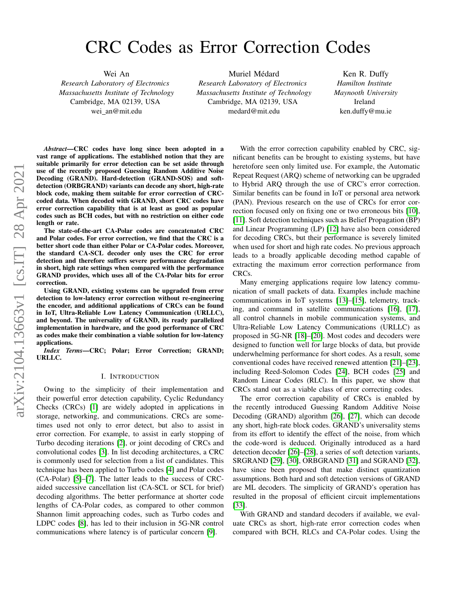# CRC Codes as Error Correction Codes

Wei An

*Research Laboratory of Electronics Massachusetts Institute of Technology* Cambridge, MA 02139, USA wei an@mit.edu

Muriel Médard *Research Laboratory of Electronics Massachusetts Institute of Technology* Cambridge, MA 02139, USA medard@mit.edu

Ken R. Duffy *Hamilton Institute Maynooth University* Ireland ken.duffy@mu.ie

*Abstract*—CRC codes have long since been adopted in a vast range of applications. The established notion that they are suitable primarily for error detection can be set aside through use of the recently proposed Guessing Random Additive Noise Decoding (GRAND). Hard-detection (GRAND-SOS) and softdetection (ORBGRAND) variants can decode any short, high-rate block code, making them suitable for error correction of CRCcoded data. When decoded with GRAND, short CRC codes have error correction capability that is at least as good as popular codes such as BCH codes, but with no restriction on either code length or rate.

The state-of-the-art CA-Polar codes are concatenated CRC and Polar codes. For error correction, we find that the CRC is a better short code than either Polar or CA-Polar codes. Moreover, the standard CA-SCL decoder only uses the CRC for error detection and therefore suffers severe performance degradation in short, high rate settings when compared with the performance GRAND provides, which uses all of the CA-Polar bits for error correction.

Using GRAND, existing systems can be upgraded from error detection to low-latency error correction without re-engineering the encoder, and additional applications of CRCs can be found in IoT, Ultra-Reliable Low Latency Communication (URLLC), and beyond. The universality of GRAND, its ready parallelized implementation in hardware, and the good performance of CRC as codes make their combination a viable solution for low-latency applications.

*Index Terms*—CRC; Polar; Error Correction; GRAND; URLLC.

### I. INTRODUCTION

Owing to the simplicity of their implementation and their powerful error detection capability, Cyclic Redundancy Checks (CRCs) [\[1\]](#page-5-0) are widely adopted in applications in storage, networking, and communications. CRCs are sometimes used not only to error detect, but also to assist in error correction. For example, to assist in early stopping of Turbo decoding iterations [\[2\]](#page-5-1), or joint decoding of CRCs and convolutional codes [\[3\]](#page-5-2). In list decoding architectures, a CRC is commonly used for selection from a list of candidates. This technique has been applied to Turbo codes [\[4\]](#page-5-3) and Polar codes (CA-Polar) [\[5\]](#page-5-4)–[\[7\]](#page-5-5). The latter leads to the success of CRCaided successive cancellation list (CA-SCL or SCL for brief) decoding algorithms. The better performance at shorter code lengths of CA-Polar codes, as compared to other common Shannon limit approaching codes, such as Turbo codes and LDPC codes [\[8\]](#page-5-6), has led to their inclusion in 5G-NR control communications where latency is of particular concern [\[9\]](#page-5-7).

With the error correction capability enabled by CRC, significant benefits can be brought to existing systems, but have heretofore seen only limited use. For example, the Automatic Repeat Request (ARQ) scheme of networking can be upgraded to Hybrid ARQ through the use of CRC's error correction. Similar benefits can be found in IoT or personal area network (PAN). Previous research on the use of CRCs for error correction focused only on fixing one or two erroneous bits [\[10\]](#page-5-8), [\[11\]](#page-5-9). Soft detection techniques such as Belief Propagation (BP) and Linear Programming (LP) [\[12\]](#page-5-10) have also been considered for decoding CRCs, but their performance is severely limited when used for short and high rate codes. No previous approach leads to a broadly applicable decoding method capable of extracting the maximum error correction performance from CRCs.

Many emerging applications require low latency communication of small packets of data. Examples include machine communications in IoT systems [\[13\]](#page-5-11)–[\[15\]](#page-5-12), telemetry, tracking, and command in satellite communications [\[16\]](#page-5-13), [\[17\]](#page-5-14), all control channels in mobile communication systems, and Ultra-Reliable Low Latency Communications (URLLC) as proposed in 5G-NR [\[18\]](#page-5-15)–[\[20\]](#page-5-16). Most codes and decoders were designed to function well for large blocks of data, but provide underwhelming performance for short codes. As a result, some conventional codes have received renewed attention [\[21\]](#page-5-17)–[\[23\]](#page-5-18), including Reed-Solomon Codes [\[24\]](#page-5-19), BCH codes [\[25\]](#page-5-20) and Random Linear Codes (RLC). In this paper, we show that CRCs stand out as a viable class of error correcting codes.

The error correction capability of CRCs is enabled by the recently introduced Guessing Random Additive Noise Decoding (GRAND) algorithm [\[26\]](#page-5-21), [\[27\]](#page-5-22), which can decode any short, high-rate block codes. GRAND's universality stems from its effort to identify the effect of the noise, from which the code-word is deduced. Originally introduced as a hard detection decoder [\[26\]](#page-5-21)–[\[28\]](#page-5-23), a series of soft detection variants, SRGRAND [\[29\]](#page-5-24), [\[30\]](#page-5-25), ORBGRAND [\[31\]](#page-5-26) and SGRAND [\[32\]](#page-5-27), have since been proposed that make distinct quantization assumptions. Both hard and soft detection versions of GRAND are ML decoders. The simplicity of GRAND's operation has resulted in the proposal of efficient circuit implementations [\[33\]](#page-5-28).

With GRAND and standard decoders if available, we evaluate CRCs as short, high-rate error correction codes when compared with BCH, RLCs and CA-Polar codes. Using the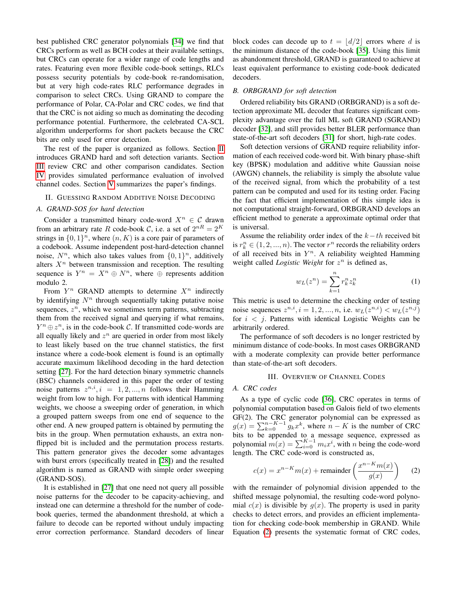best published CRC generator polynomials [\[34\]](#page-5-29) we find that CRCs perform as well as BCH codes at their available settings, but CRCs can operate for a wider range of code lengths and rates. Featuring even more flexible code-book settings, RLCs possess security potentials by code-book re-randomisation, but at very high code-rates RLC performance degrades in comparison to select CRCs. Using GRAND to compare the performance of Polar, CA-Polar and CRC codes, we find that that the CRC is not aiding so much as dominating the decoding performance potential. Furthermore, the celebrated CA-SCL algorithm underperforms for short packets because the CRC bits are only used for error detection.

The rest of the paper is organized as follows. Section [II](#page-1-0) introduces GRAND hard and soft detection variants. Section [III](#page-1-1) review CRC and other comparison candidates. Section [IV](#page-2-0) provides simulated performance evaluation of involved channel codes. Section [V](#page-5-30) summarizes the paper's findings.

#### <span id="page-1-0"></span>II. GUESSING RANDOM ADDITIVE NOISE DECODING

## *A. GRAND-SOS for hard detection*

Consider a transmitted binary code-word  $X^n \in \mathcal{C}$  drawn from an arbitrary rate R code-book C, i.e. a set of  $2^{nR} = 2^K$ strings in  $\{0,1\}^n$ , where  $(n, K)$  is a core pair of parameters of a codebook. Assume independent post-hard-detection channel noise,  $N^n$ , which also takes values from  $\{0, 1\}^n$ , additively alters  $X<sup>n</sup>$  between transmission and reception. The resulting sequence is  $Y^n = X^n \oplus N^n$ , where  $\oplus$  represents addition modulo 2.

From  $Y^n$  GRAND attempts to determine  $X^n$  indirectly by identifying  $N<sup>n</sup>$  through sequentially taking putative noise sequences,  $z^n$ , which we sometimes term patterns, subtracting them from the received signal and querying if what remains,  $Y^n \oplus z^n$ , is in the code-book C. If transmitted code-words are all equally likely and  $z^n$  are queried in order from most likely to least likely based on the true channel statistics, the first instance where a code-book element is found is an optimally accurate maximum likelihood decoding in the hard detection setting [\[27\]](#page-5-22). For the hard detection binary symmetric channels (BSC) channels considered in this paper the order of testing noise patterns  $z^{n,i}$ ,  $i = 1, 2, ..., n$  follows their Hamming weight from low to high. For patterns with identical Hamming weights, we choose a sweeping order of generation, in which a grouped pattern sweeps from one end of sequence to the other end. A new grouped pattern is obtained by permuting the bits in the group. When permutation exhausts, an extra nonflipped bit is included and the permutation process restarts. This pattern generator gives the decoder some advantages with burst errors (specifically treated in [\[28\]](#page-5-23)) and the resulted algorithm is named as GRAND with simple order sweeping (GRAND-SOS).

It is established in [\[27\]](#page-5-22) that one need not query all possible noise patterns for the decoder to be capacity-achieving, and instead one can determine a threshold for the number of codebook queries, termed the abandonment threshold, at which a failure to decode can be reported without unduly impacting error correction performance. Standard decoders of linear block codes can decode up to  $t = |d/2|$  errors where d is the minimum distance of the code-book [\[35\]](#page-5-31). Using this limit as abandonment threshold, GRAND is guaranteed to achieve at least equivalent performance to existing code-book dedicated decoders.

## *B. ORBGRAND for soft detection*

Ordered reliability bits GRAND (ORBGRAND) is a soft detection approximate ML decoder that features significant complexity advantage over the full ML soft GRAND (SGRAND) decoder [\[32\]](#page-5-27), and still provides better BLER performance than state-of-the-art soft decoders [\[31\]](#page-5-26) for short, high-rate codes.

Soft detection versions of GRAND require reliability information of each received code-word bit. With binary phase-shift key (BPSK) modulation and additive white Gaussian noise (AWGN) channels, the reliability is simply the absolute value of the received signal, from which the probability of a test pattern can be computed and used for its testing order. Facing the fact that efficient implementation of this simple idea is not computational straight-forward, ORBGRAND develops an efficient method to generate a approximate optimal order that is universal.

Assume the reliability order index of the  $k-th$  received bit is  $r_k^n \in (1, 2, ..., n)$ . The vector  $r^n$  records the reliability orders of all received bits in  $Y^n$ . A reliability weighted Hamming weight called *Logistic Weight* for  $z^n$  is defined as,

$$
w_L(z^n) = \sum_{k=1}^n r_k^n z_k^n
$$
 (1)

This metric is used to determine the checking order of testing noise sequences  $z^{n,i}$ ,  $i = 1, 2, ..., n$ , i.e.  $w_L(z^{n,i}) < w_L(z^{n,j})$ for  $i < j$ . Patterns with identical Logistic Weights can be arbitrarily ordered.

The performance of soft decoders is no longer restricted by minimum distance of code-books. In most cases ORBGRAND with a moderate complexity can provide better performance than state-of-the-art soft decoders.

## III. OVERVIEW OF CHANNEL CODES

#### <span id="page-1-1"></span>*A. CRC codes*

As a type of cyclic code [\[36\]](#page-5-32), CRC operates in terms of polynomial computation based on Galois field of two elements GF(2). The CRC generator polynomial can be expressed as  $g(x) = \sum_{k=0}^{n-K-1} g_k x^k$ , where  $n - K$  is the number of CRC bits to be appended to a message sequence, expressed as polynomial  $m(x) = \sum_{i=0}^{K-1} m_i x^i$ , with *n* being the code-word length. The CRC code-word is constructed as,

<span id="page-1-2"></span>
$$
c(x) = x^{n-K}m(x) + \text{remainder}\left(\frac{x^{n-K}m(x)}{g(x)}\right) \tag{2}
$$

with the remainder of polynomial division appended to the shifted message polynomial, the resulting code-word polynomial  $c(x)$  is divisible by  $g(x)$ . The property is used in parity checks to detect errors, and provides an efficient implementation for checking code-book membership in GRAND. While Equation [\(2\)](#page-1-2) presents the systematic format of CRC codes,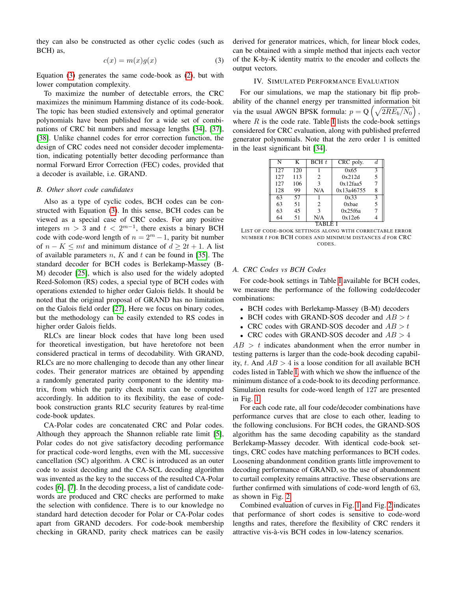they can also be constructed as other cyclic codes (such as BCH) as,

<span id="page-2-1"></span>
$$
c(x) = m(x)g(x) \tag{3}
$$

Equation [\(3\)](#page-2-1) generates the same code-book as [\(2\)](#page-1-2), but with lower computation complexity.

To maximize the number of detectable errors, the CRC maximizes the minimum Hamming distance of its code-book. The topic has been studied extensively and optimal generator polynomials have been published for a wide set of combinations of CRC bit numbers and message lengths [\[34\]](#page-5-29), [\[37\]](#page-5-33), [\[38\]](#page-5-34). Unlike channel codes for error correction function, the design of CRC codes need not consider decoder implementation, indicating potentially better decoding performance than normal Forward Error Correction (FEC) codes, provided that a decoder is available, i.e. GRAND.

## *B. Other short code candidates*

Also as a type of cyclic codes, BCH codes can be constructed with Equation [\(3\)](#page-2-1). In this sense, BCH codes can be viewed as a special case of CRC codes. For any positive integers  $m > 3$  and  $t < 2^{m-1}$ , there exists a binary BCH code with code-word length of  $n = 2<sup>m</sup> - 1$ , parity bit number of  $n - K \leq mt$  and minimum distance of  $d \geq 2t + 1$ . A list of available parameters  $n, K$  and  $t$  can be found in [\[35\]](#page-5-31). The standard decoder for BCH codes is Berlekamp-Massey (B-M) decoder [\[25\]](#page-5-20), which is also used for the widely adopted Reed-Solomon (RS) codes, a special type of BCH codes with operations extended to higher order Galois fields. It should be noted that the original proposal of GRAND has no limitation on the Galois field order [\[27\]](#page-5-22), Here we focus on binary codes, but the methodology can be easily extended to RS codes in higher order Galois fields.

RLCs are linear block codes that have long been used for theoretical investigation, but have heretofore not been considered practical in terms of decodability. With GRAND, RLCs are no more challenging to decode than any other linear codes. Their generator matrices are obtained by appending a randomly generated parity component to the identity matrix, from which the parity check matrix can be computed accordingly. In addition to its flexibility, the ease of codebook construction grants RLC security features by real-time code-book updates.

CA-Polar codes are concatenated CRC and Polar codes. Although they approach the Shannon reliable rate limit [\[5\]](#page-5-4), Polar codes do not give satisfactory decoding performance for practical code-word lengths, even with the ML successive cancellation (SC) algorithm. A CRC is introduced as an outer code to assist decoding and the CA-SCL decoding algorithm was invented as the key to the success of the resulted CA-Polar codes [\[6\]](#page-5-35), [\[7\]](#page-5-5). In the decoding process, a list of candidate codewords are produced and CRC checks are performed to make the selection with confidence. There is to our knowledge no standard hard detection decoder for Polar or CA-Polar codes apart from GRAND decoders. For code-book membership checking in GRAND, parity check matrices can be easily derived for generator matrices, which, for linear block codes, can be obtained with a simple method that injects each vector of the K-by-K identity matrix to the encoder and collects the output vectors.

#### IV. SIMULATED PERFORMANCE EVALUATION

<span id="page-2-0"></span>For our simulations, we map the stationary bit flip probability of the channel energy per transmitted information bit via the usual AWGN BPSK formula:  $p = Q\left(\sqrt{2RE_b/N_0}\right)$ , where  $R$  is the code rate. Table [I](#page-2-2) lists the code-book settings considered for CRC evaluation, along with published preferred generator polynomials. Note that the zero order 1 is omitted in the least significant bit [\[34\]](#page-5-29).

| N     | K   | BCHt | CRC poly.  |   |
|-------|-----|------|------------|---|
| 127   | 120 |      | 0x65       | 3 |
| 127   | 113 | 2    | 0x212d     | 5 |
| 127   | 106 | 3    | 0x12faa5   | 7 |
| 128   | 99  | N/A  | 0x13a46755 | 8 |
| 63    | 57  |      | 0x33       | 3 |
| 63    | 51  | 2    | $0x$ bae   | 5 |
| 63    | 45  | 3    | 0x25f6a    |   |
| 64    | 51  | N/A  | 0x12e6     |   |
| TABLE |     |      |            |   |

<span id="page-2-2"></span>LIST OF CODE-BOOK SETTINGS ALONG WITH CORRECTABLE ERROR NUMBER  $t$  FOR BCH CODES AND MINIMUM DISTANCES  $d$  FOR CRC CODES.

## *A. CRC Codes vs BCH Codes*

For code-book settings in Table [I](#page-2-2) available for BCH codes, we measure the performance of the following code/decoder combinations:

- BCH codes with Berlekamp-Massey (B-M) decoders
- BCH codes with GRAND-SOS decoder and  $AB > t$
- CRC codes with GRAND-SOS decoder and  $AB > t$
- CRC codes with GRAND-SOS decoder and  $AB > 4$

 $AB > t$  indicates abandonment when the error number in testing patterns is larger than the code-book decoding capability, t. And  $AB > 4$  is a loose condition for all available BCH codes listed in Table [I,](#page-2-2) with which we show the influence of the minimum distance of a code-book to its decoding performance. Simulation results for code-word length of 127 are presented in Fig. [1.](#page-3-0)

For each code rate, all four code/decoder combinations have performance curves that are close to each other, leading to the following conclusions. For BCH codes, the GRAND-SOS algorithm has the same decoding capability as the standard Berlekamp-Massey decoder. With identical code-book settings, CRC codes have matching performances to BCH codes. Loosening abandonment condition grants little improvement to decoding performance of GRAND, so the use of abandonment to curtail complexity remains attractive. These observations are further confirmed with simulations of code-word length of 63, as shown in Fig. [2](#page-3-1)

Combined evaluation of curves in Fig. [1](#page-3-0) and Fig. [2](#page-3-1) indicates that performance of short codes is sensitive to code-word lengths and rates, therefore the flexibility of CRC renders it attractive vis-a-vis BCH codes in low-latency scenarios. `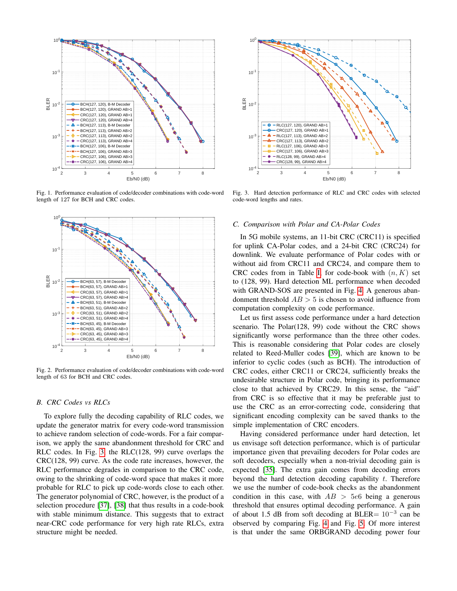

<span id="page-3-0"></span>Fig. 1. Performance evaluation of code/decoder combinations with code-word length of 127 for BCH and CRC codes.



<span id="page-3-1"></span>Fig. 2. Performance evaluation of code/decoder combinations with code-word length of 63 for BCH and CRC codes.

# *B. CRC Codes vs RLCs*

To explore fully the decoding capability of RLC codes, we update the generator matrix for every code-word transmission to achieve random selection of code-words. For a fair comparison, we apply the same abandonment threshold for CRC and RLC codes. In Fig. [3,](#page-3-2) the RLC(128, 99) curve overlaps the CRC(128, 99) curve. As the code rate increases, however, the RLC performance degrades in comparison to the CRC code, owing to the shrinking of code-word space that makes it more probable for RLC to pick up code-words close to each other. The generator polynomial of CRC, however, is the product of a selection procedure [\[37\]](#page-5-33), [\[38\]](#page-5-34) that thus results in a code-book with stable minimum distance. This suggests that to extract near-CRC code performance for very high rate RLCs, extra structure might be needed.



<span id="page-3-2"></span>Fig. 3. Hard detection performance of RLC and CRC codes with selected code-word lengths and rates.

#### *C. Comparison with Polar and CA-Polar Codes*

In 5G mobile systems, an 11-bit CRC (CRC11) is specified for uplink CA-Polar codes, and a 24-bit CRC (CRC24) for downlink. We evaluate performance of Polar codes with or without aid from CRC11 and CRC24, and compare them to CRC codes from in Table [I,](#page-2-2) for code-book with  $(n, K)$  set to (128, 99). Hard detection ML performance when decoded with GRAND-SOS are presented in Fig. [4.](#page-4-0) A generous abandonment threshold  $AB > 5$  is chosen to avoid influence from computation complexity on code performance.

Let us first assess code performance under a hard detection scenario. The Polar(128, 99) code without the CRC shows significantly worse performance than the three other codes. This is reasonable considering that Polar codes are closely related to Reed-Muller codes [\[39\]](#page-5-36), which are known to be inferior to cyclic codes (such as BCH). The introduction of CRC codes, either CRC11 or CRC24, sufficiently breaks the undesirable structure in Polar code, bringing its performance close to that achieved by CRC29. In this sense, the "aid" from CRC is so effective that it may be preferable just to use the CRC as an error-correcting code, considering that significant encoding complexity can be saved thanks to the simple implementation of CRC encoders.

Having considered performance under hard detection, let us envisage soft detection performance, which is of particular importance given that prevailing decoders for Polar codes are soft decoders, especially when a non-trivial decoding gain is expected [\[35\]](#page-5-31). The extra gain comes from decoding errors beyond the hard detection decoding capability  $t$ . Therefore we use the number of code-book checks as the abandonment condition in this case, with  $AB > 5e6$  being a generous threshold that ensures optimal decoding performance. A gain of about 1.5 dB from soft decoding at BLER=  $10^{-3}$  can be observed by comparing Fig. [4](#page-4-0) and Fig. [5.](#page-4-1) Of more interest is that under the same ORBGRAND decoding power four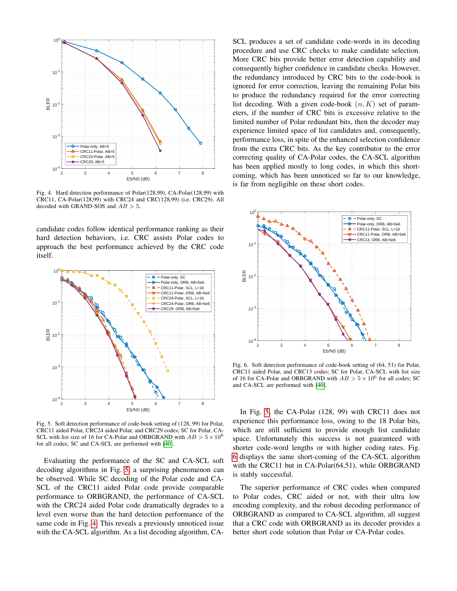

<span id="page-4-0"></span>Fig. 4. Hard detection performance of Polar(128,99), CA-Polar(128,99) with CRC11, CA-Polar(128,99) with CRC24 and CRC(128,99) (i.e. CRC29). All decoded with GRAND-SOS and  $AB > 5$ .

candidate codes follow identical performance ranking as their hard detection behaviors, i.e. CRC assists Polar codes to approach the best performance achieved by the CRC code itself.



<span id="page-4-1"></span>Fig. 5. Soft detection performance of code-book setting of (128, 99) for Polar, CRC11 aided Polar, CRC24 aided Polar, and CRC29 codes; SC for Polar, CA-SCL with list size of 16 for CA-Polar and ORBGRAND with  $AB > 5 \times 10^6$ for all codes; SC and CA-SCL are performed with [\[40\]](#page-5-37).

Evaluating the performance of the SC and CA-SCL soft decoding algorithms in Fig. [5,](#page-4-1) a surprising phenomenon can be observed. While SC decoding of the Polar code and CA-SCL of the CRC11 aided Polar code provide comparable performance to ORBGRAND, the performance of CA-SCL with the CRC24 aided Polar code dramatically degrades to a level even worse than the hard detection performance of the same code in Fig. [4.](#page-4-0) This reveals a previously unnoticed issue with the CA-SCL algorithm. As a list decoding algorithm, CA- SCL produces a set of candidate code-words in its decoding procedure and use CRC checks to make candidate selection. More CRC bits provide better error detection capability and consequently higher confidence in candidate checks. However, the redundancy introduced by CRC bits to the code-book is ignored for error correction, leaving the remaining Polar bits to produce the redundancy required for the error correcting list decoding. With a given code-book  $(n, K)$  set of parameters, if the number of CRC bits is excessive relative to the limited number of Polar redundant bits, then the decoder may experience limited space of list candidates and, consequently, performance loss, in spite of the enhanced selection confidence from the extra CRC bits. As the key contributor to the error correcting quality of CA-Polar codes, the CA-SCL algorithm has been applied mostly to long codes, in which this shortcoming, which has been unnoticed so far to our knowledge, is far from negligible on these short codes.



<span id="page-4-2"></span>Fig. 6. Soft detection performance of code-book setting of (64, 51) for Polar, CRC11 aided Polar, and CRC13 codes; SC for Polar, CA-SCL with list size of 16 for CA-Polar and ORBGRAND with  $AB > 5 \times 10^6$  for all codes; SC and CA-SCL are performed with [\[40\]](#page-5-37).

In Fig. [5,](#page-4-1) the CA-Polar (128, 99) with CRC11 does not experience this performance loss, owing to the 18 Polar bits, which are still sufficient to provide enough list candidate space. Unfortunately this success is not guaranteed with shorter code-word lengths or with higher coding rates. Fig. [6](#page-4-2) displays the same short-coming of the CA-SCL algorithm with the CRC11 but in CA-Polar(64,51), while ORBGRAND is stably successful.

The superior performance of CRC codes when compared to Polar codes, CRC aided or not, with their ultra low encoding complexity, and the robust decoding performance of ORBGRAND as compared to CA-SCL algorithm, all suggest that a CRC code with ORBGRAND as its decoder provides a better short code solution than Polar or CA-Polar codes.